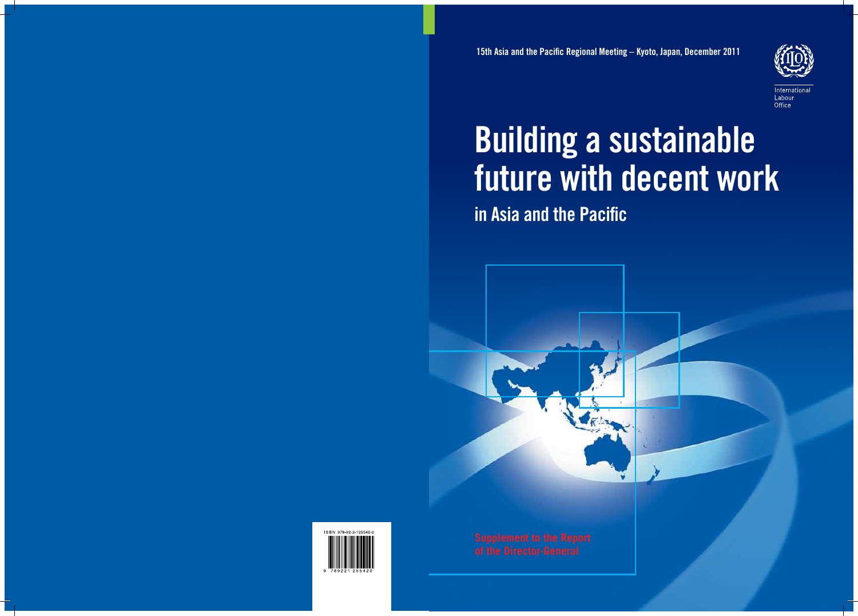

Office

# Building a sustainable future with decent work in Asia and the Pacific

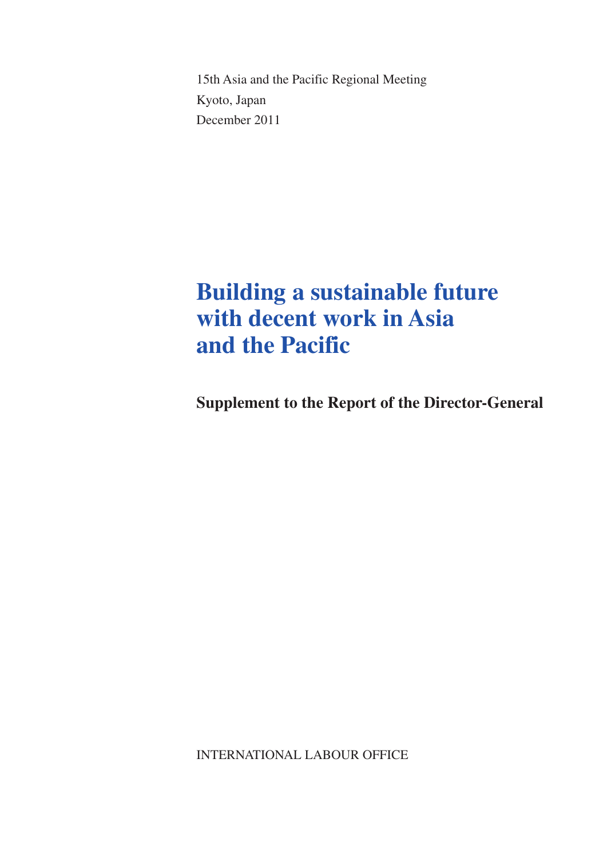15th Asia and the Pacific Regional Meeting Kyoto, Japan December 2011

## **Building a sustainable future with decent work in Asia and the Pacific**

**Supplement to the Report of the Director-General**

INTERNATIONAL LABOUR OFFICE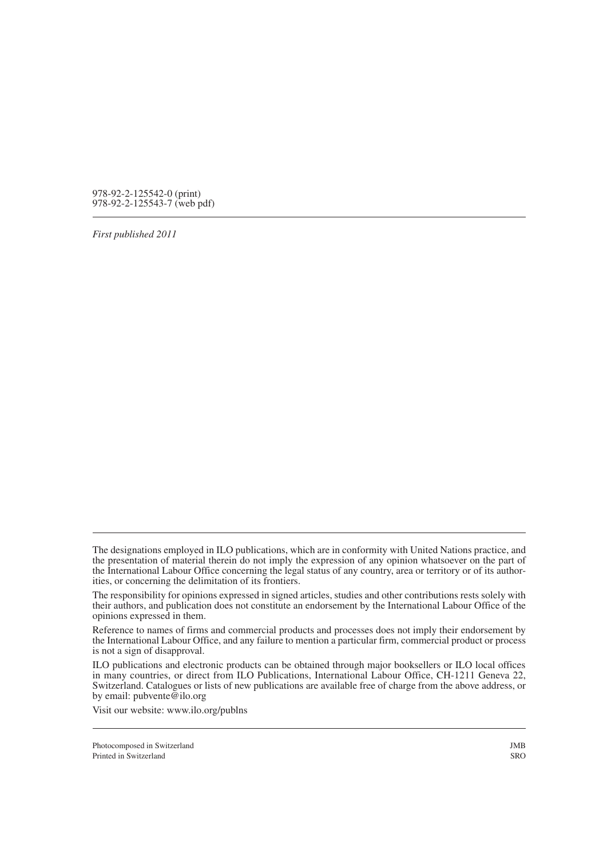978-92-2-125542-0 (print) 978-92-2-125543-7 (web pdf)

*First published 2011*

The designations employed in ILO publications, which are in conformity with United Nations practice, and the presentation of material therein do not imply the expression of any opinion whatsoever on the part of the International Labour Office concerning the legal status of any country, area or territory or of its author- ities, or concerning the delimitation of its frontiers.

The responsibility for opinions expressed in signed articles, studies and other contributions rests solely with their authors, and publication does not constitute an endorsement by the International Labour Office of the opinions expressed in them.

Reference to names of firms and commercial products and processes does not imply their endorsement by the International Labour Office, and any failure to mention a particular firm, commercial product or process is not a sign of disapproval.

ILO publications and electronic products can be obtained through major booksellers or ILO local offices in many countries, or direct from ILO Publications, International Labour Office, CH-1211 Geneva 22, Switzerland. Catalogues or lists of new publications are available free of charge from the above address, or by email: pubvente@ilo.org

Visit our website: www.ilo.org/publns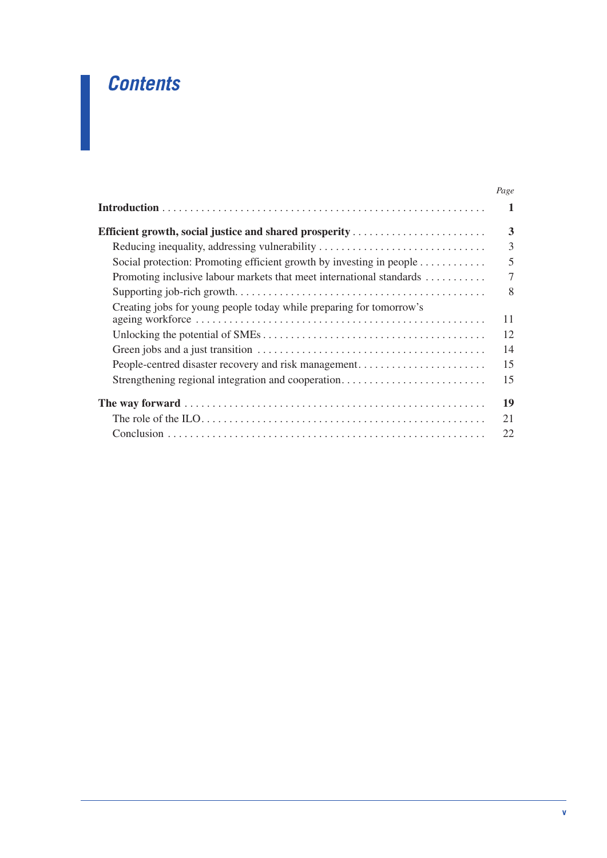## *Contents*

|                                                                      | Page           |
|----------------------------------------------------------------------|----------------|
|                                                                      | 1              |
| <b>Efficient growth, social justice and shared prosperity </b>       | 3              |
| Reducing inequality, addressing vulnerability                        | 3              |
| Social protection: Promoting efficient growth by investing in people | 5              |
| Promoting inclusive labour markets that meet international standards | $\overline{7}$ |
|                                                                      | 8              |
| Creating jobs for young people today while preparing for tomorrow's  | 11             |
|                                                                      | 12             |
|                                                                      | 14             |
| People-centred disaster recovery and risk management                 | 15             |
| Strengthening regional integration and cooperation                   | 15             |
|                                                                      | 19             |
|                                                                      | 21             |
|                                                                      | 22             |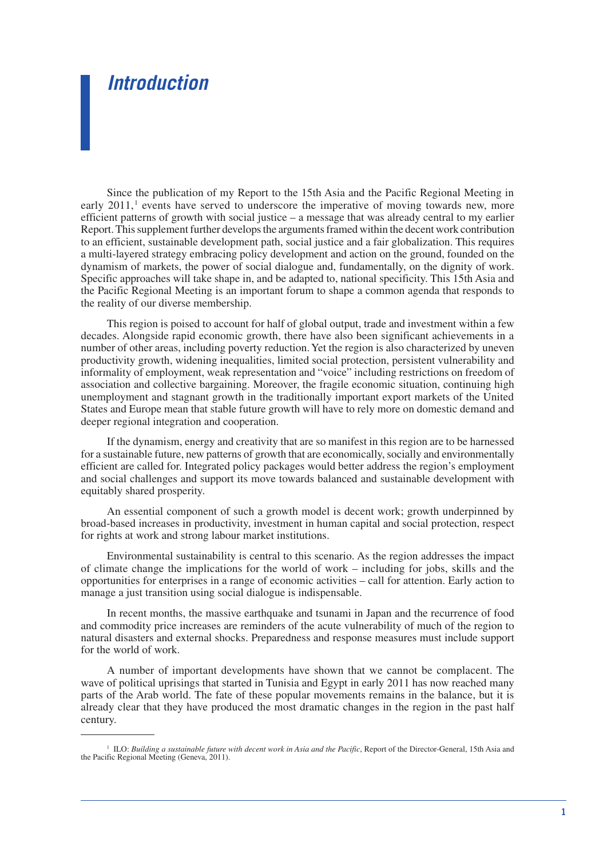### *Introduction*

Since the publication of my Report to the 15th Asia and the Pacific Regional Meeting in early  $2011$ ,<sup>1</sup> events have served to underscore the imperative of moving towards new, more efficient patterns of growth with social justice – a message that was already central to my earlier Report. This supplement further develops the arguments framed within the decent work contribution to an efficient, sustainable development path, social justice and a fair globalization. This requires a multi-layered strategy embracing policy development and action on the ground, founded on the dynamism of markets, the power of social dialogue and, fundamentally, on the dignity of work. Specific approaches will take shape in, and be adapted to, national specificity. This 15th Asia and the Pacific Regional Meeting is an important forum to shape a common agenda that responds to the reality of our diverse membership.

This region is poised to account for half of global output, trade and investment within a few decades. Alongside rapid economic growth, there have also been significant achievements in a number of other areas, including poverty reduction. Yet the region is also characterized by uneven productivity growth, widening inequalities, limited social protection, persistent vulnerability and informality of employment, weak representation and "voice" including restrictions on freedom of association and collective bargaining. Moreover, the fragile economic situation, continuing high unemployment and stagnant growth in the traditionally important export markets of the United States and Europe mean that stable future growth will have to rely more on domestic demand and deeper regional integration and cooperation.

If the dynamism, energy and creativity that are so manifest in this region are to be harnessed for a sustainable future, new patterns of growth that are economically, socially and environmentally efficient are called for. Integrated policy packages would better address the region's employment and social challenges and support its move towards balanced and sustainable development with equitably shared prosperity.

An essential component of such a growth model is decent work; growth underpinned by broad-based increases in productivity, investment in human capital and social protection, respect for rights at work and strong labour market institutions.

Environmental sustainability is central to this scenario. As the region addresses the impact of climate change the implications for the world of work – including for jobs, skills and the opportunities for enterprises in a range of economic activities – call for attention. Early action to manage a just transition using social dialogue is indispensable.

In recent months, the massive earthquake and tsunami in Japan and the recurrence of food and commodity price increases are reminders of the acute vulnerability of much of the region to natural disasters and external shocks. Preparedness and response measures must include support for the world of work.

A number of important developments have shown that we cannot be complacent. The wave of political uprisings that started in Tunisia and Egypt in early 2011 has now reached many parts of the Arab world. The fate of these popular movements remains in the balance, but it is already clear that they have produced the most dramatic changes in the region in the past half century.

<sup>&</sup>lt;sup>1</sup> ILO: *Building a sustainable future with decent work in Asia and the Pacific*, Report of the Director-General, 15th Asia and the Pacific Regional Meeting (Geneva, 2011).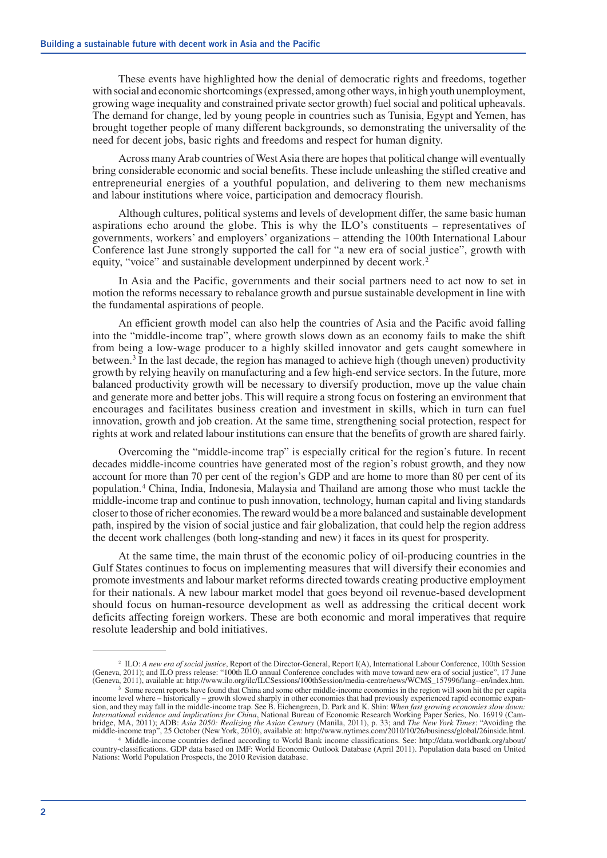These events have highlighted how the denial of democratic rights and freedoms, together with social and economic shortcomings (expressed, among other ways, in high youth unemployment, growing wage inequality and constrained private sector growth) fuel social and political upheavals. The demand for change, led by young people in countries such as Tunisia, Egypt and Yemen, has brought together people of many different backgrounds, so demonstrating the universality of the need for decent jobs, basic rights and freedoms and respect for human dignity.

Across many Arab countries of West Asia there are hopes that political change will eventually bring considerable economic and social benefits. These include unleashing the stifled creative and entrepreneurial energies of a youthful population, and delivering to them new mechanisms and labour institutions where voice, participation and democracy flourish.

Although cultures, political systems and levels of development differ, the same basic human aspirations echo around the globe. This is why the ILO's constituents – representatives of governments, workers' and employers' organizations – attending the 100th International Labour Conference last June strongly supported the call for "a new era of social justice", growth with equity, "voice" and sustainable development underpinned by decent work.<sup>2</sup>

In Asia and the Pacific, governments and their social partners need to act now to set in motion the reforms necessary to rebalance growth and pursue sustainable development in line with the fundamental aspirations of people.

An efficient growth model can also help the countries of Asia and the Pacific avoid falling into the "middle-income trap", where growth slows down as an economy fails to make the shift from being a low-wage producer to a highly skilled innovator and gets caught somewhere in between.3 In the last decade, the region has managed to achieve high (though uneven) productivity growth by relying heavily on manufacturing and a few high-end service sectors. In the future, more balanced productivity growth will be necessary to diversify production, move up the value chain and generate more and better jobs. This will require a strong focus on fostering an environment that encourages and facilitates business creation and investment in skills, which in turn can fuel innovation, growth and job creation. At the same time, strengthening social protection, respect for rights at work and related labour institutions can ensure that the benefits of growth are shared fairly.

Overcoming the "middle-income trap" is especially critical for the region's future. In recent decades middle-income countries have generated most of the region's robust growth, and they now account for more than 70 per cent of the region's GDP and are home to more than 80 per cent of its population.4 China, India, Indonesia, Malaysia and Thailand are among those who must tackle the middle-income trap and continue to push innovation, technology, human capital and living standards closer to those of richer economies. The reward would be a more balanced and sustainable development path, inspired by the vision of social justice and fair globalization, that could help the region address the decent work challenges (both long-standing and new) it faces in its quest for prosperity.

At the same time, the main thrust of the economic policy of oil-producing countries in the Gulf States continues to focus on implementing measures that will diversify their economies and promote investments and labour market reforms directed towards creating productive employment for their nationals. A new labour market model that goes beyond oil revenue-based development should focus on human-resource development as well as addressing the critical decent work deficits affecting foreign workers. These are both economic and moral imperatives that require resolute leadership and bold initiatives.

<sup>2</sup> ILO: *A new era of social justice*, Report of the Director-General, Report I(A), International Labour Conference, 100th Session (Geneva, 2011); and ILO press release: "100th ILO annual Conference concludes with move toward new era of social justice", 17 June (Geneva, 2011), available at: http://www.ilo.org/ilc/ILCSessions/100thSession/media-centre/news/WCMS\_157996/lang--en/index.htm.

<sup>&</sup>lt;sup>3</sup> Some recent reports have found that China and some other middle-income economies in the region will soon hit the per capita income level where – historically – growth slowed sharply in other economies that had previously experienced rapid economic expansion, and they may fall in the middle-income trap. See B. Eichengreen, D. Park and K. Shin: *When fast growing economies slow down: International evidence and implications for China*, National Bureau of Economic Research Working Paper Series, No. 16919 (Cambridge, MA, 2011); ADB: Asia 2050: Realizing the Asian Century (Manila, 2011), p. 33; and The New York Times: "Avoiding the middle-income trap", 25 October (New York, 2010), available at: http://www.nytimes.com/2010/10/26/

<sup>4</sup> Middle-income countries defined according to World Bank income classifications. See: http://data.worldbank.org/about/ country-classifications. GDP data based on IMF: World Economic Outlook Database (April 2011). Population data based on United Nations: World Population Prospects, the 2010 Revision database.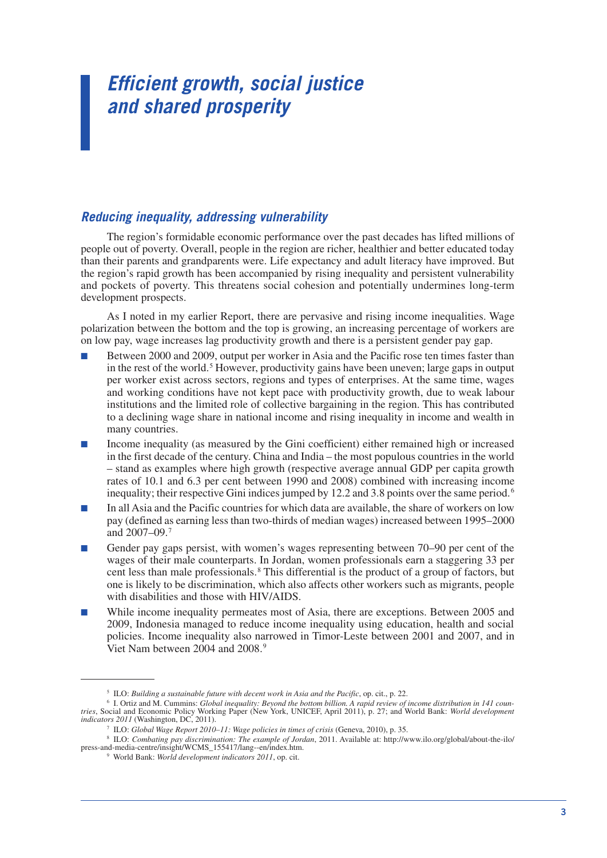## *Efficient growth, social justice and shared prosperity*

#### *Reducing inequality, addressing vulnerability*

The region's formidable economic performance over the past decades has lifted millions of people out of poverty. Overall, people in the region are richer, healthier and better educated today than their parents and grandparents were. Life expectancy and adult literacy have improved. But the region's rapid growth has been accompanied by rising inequality and persistent vulnerability and pockets of poverty. This threatens social cohesion and potentially undermines long-term development prospects.

As I noted in my earlier Report, there are pervasive and rising income inequalities. Wage polarization between the bottom and the top is growing, an increasing percentage of workers are on low pay, wage increases lag productivity growth and there is a persistent gender pay gap.

- Between 2000 and 2009, output per worker in Asia and the Pacific rose ten times faster than in the rest of the world.<sup>5</sup> However, productivity gains have been uneven; large gaps in output per worker exist across sectors, regions and types of enterprises. At the same time, wages and working conditions have not kept pace with productivity growth, due to weak labour institutions and the limited role of collective bargaining in the region. This has contributed to a declining wage share in national income and rising inequality in income and wealth in many countries.
- Income inequality (as measured by the Gini coefficient) either remained high or increased in the first decade of the century. China and India – the most populous countries in the world – stand as examples where high growth (respective average annual GDP per capita growth rates of 10.1 and 6.3 per cent between 1990 and 2008) combined with increasing income inequality; their respective Gini indices jumped by 12.2 and 3.8 points over the same period.<sup>6</sup>
- In all Asia and the Pacific countries for which data are available, the share of workers on low pay (defined as earning less than two-thirds of median wages) increased between 1995–2000 and  $2007 - 09.7$
- Gender pay gaps persist, with women's wages representing between 70–90 per cent of the wages of their male counterparts. In Jordan, women professionals earn a staggering 33 per cent less than male professionals.<sup>8</sup> This differential is the product of a group of factors, but one is likely to be discrimination, which also affects other workers such as migrants, people with disabilities and those with HIV/AIDS.
- While income inequality permeates most of Asia, there are exceptions. Between 2005 and 2009, Indonesia managed to reduce income inequality using education, health and social policies. Income inequality also narrowed in Timor-Leste between 2001 and 2007, and in Viet Nam between 2004 and 2008.<sup>9</sup>

<sup>5</sup> ILO: *Building a sustainable future with decent work in Asia and the Pacific*, op. cit., p. 22.

<sup>6</sup> I. Ortiz and M. Cummins: *Global inequality: Beyond the bottom billion. A rapid review of income distribution in 141 coun‑ tries*, Social and Economic Policy Working Paper (New York, UNICEF, April 2011), p. 27; and World Bank: *World development indicators 2011* (Washington, DC, 2011).

<sup>7</sup> ILO: *Global Wage Report 2010–11: Wage policies in times of crisis* (Geneva, 2010), p. 35.

<sup>8</sup> ILO: *Combating pay discrimination: The example of Jordan*, 2011. Available at: http://www.ilo.org/global/about-the-ilo/ press-and-media-centre/insight/WCMS\_155417/lang--en/index.htm.

<sup>9</sup> World Bank: *World development indicators 2011*, op. cit.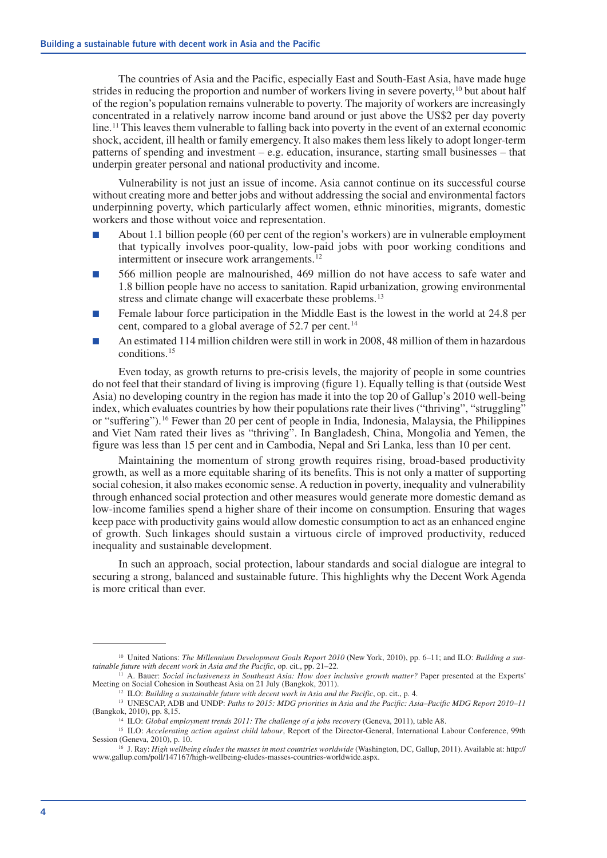The countries of Asia and the Pacific, especially East and South-East Asia, have made huge strides in reducing the proportion and number of workers living in severe poverty,<sup>10</sup> but about half of the region's population remains vulnerable to poverty. The majority of workers are increasingly concentrated in a relatively narrow income band around or just above the US\$2 per day poverty line.<sup>11</sup> This leaves them vulnerable to falling back into poverty in the event of an external economic shock, accident, ill health or family emergency. It also makes them less likely to adopt longer-term patterns of spending and investment – e.g. education, insurance, starting small businesses – that underpin greater personal and national productivity and income.

Vulnerability is not just an issue of income. Asia cannot continue on its successful course without creating more and better jobs and without addressing the social and environmental factors underpinning poverty, which particularly affect women, ethnic minorities, migrants, domestic workers and those without voice and representation.

- About 1.1 billion people (60 per cent of the region's workers) are in vulnerable employment that typically involves poor-quality, low-paid jobs with poor working conditions and intermittent or insecure work arrangements.<sup>12</sup>
- 566 million people are malnourished, 469 million do not have access to safe water and 1.8 billion people have no access to sanitation. Rapid urbanization, growing environmental stress and climate change will exacerbate these problems.<sup>13</sup>
- Female labour force participation in the Middle East is the lowest in the world at 24.8 per cent, compared to a global average of 52.7 per cent.<sup>14</sup>
- An estimated 114 million children were still in work in 2008, 48 million of them in hazardous conditions.15

Even today, as growth returns to pre-crisis levels, the majority of people in some countries do not feel that their standard of living is improving (figure 1). Equally telling is that (outside West Asia) no developing country in the region has made it into the top 20 of Gallup's 2010 well-being index, which evaluates countries by how their populations rate their lives ("thriving", "struggling" or "suffering").16 Fewer than 20 per cent of people in India, Indonesia, Malaysia, the Philippines and Viet Nam rated their lives as "thriving". In Bangladesh, China, Mongolia and Yemen, the figure was less than 15 per cent and in Cambodia, Nepal and Sri Lanka, less than 10 per cent.

Maintaining the momentum of strong growth requires rising, broad-based productivity growth, as well as a more equitable sharing of its benefits. This is not only a matter of supporting social cohesion, it also makes economic sense. A reduction in poverty, inequality and vulnerability through enhanced social protection and other measures would generate more domestic demand as low-income families spend a higher share of their income on consumption. Ensuring that wages keep pace with productivity gains would allow domestic consumption to act as an enhanced engine of growth. Such linkages should sustain a virtuous circle of improved productivity, reduced inequality and sustainable development.

In such an approach, social protection, labour standards and social dialogue are integral to securing a strong, balanced and sustainable future. This highlights why the Decent Work Agenda is more critical than ever.

<sup>10</sup> United Nations: *The Millennium Development Goals Report 2010* (New York, 2010), pp. 6–11; and ILO: *Building a sus‑ tainable future with decent work in Asia and the Pacific*, op. cit., pp. 21–22.

<sup>11</sup> A. Bauer: *Social inclusiveness in Southeast Asia: How does inclusive growth matter?* Paper presented at the Experts' Meeting on Social Cohesion in Southeast Asia on 21 July (Bangkok, 2011).

<sup>12</sup> ILO: *Building a sustainable future with decent work in Asia and the Pacific*, op. cit., p. 4.

<sup>13</sup> UNESCAP, ADB and UNDP: *Paths to 2015: MDG priorities in Asia and the Pacific: Asia–Pacific MDG Report 2010–11*  (Bangkok, 2010), pp. 8,15.

<sup>14</sup> ILO: *Global employment trends 2011: The challenge of a jobs recovery* (Geneva, 2011), table A8.

<sup>&</sup>lt;sup>15</sup> ILO: *Accelerating action against child labour*, Report of the Director-General, International Labour Conference, 99th Session (Geneva, 2010), p. 10.

<sup>16</sup> J. Ray: *High wellbeing eludes the masses in most countries worldwide* (Washington, DC, Gallup, 2011). Available at: http:// www.gallup.com/poll/147167/high-wellbeing-eludes-masses-countries-worldwide.aspx.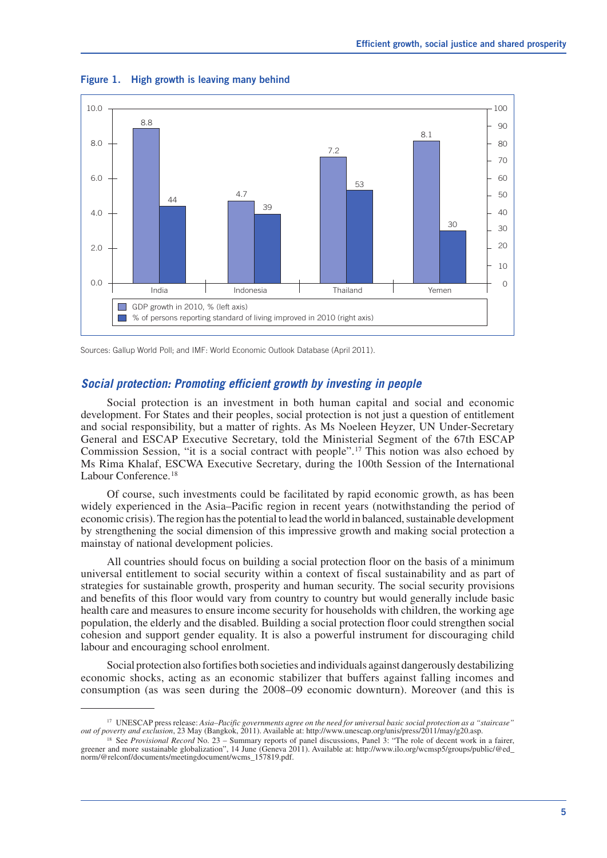

**Figure 1. High growth is leaving many behind**

Sources: Gallup World Poll; and IMF: World Economic Outlook Database (April 2011).

#### *Social protection: Promoting efficient growth by investing in people*

Social protection is an investment in both human capital and social and economic development. For States and their peoples, social protection is not just a question of entitlement and social responsibility, but a matter of rights. As Ms Noeleen Heyzer, UN Under-Secretary General and ESCAP Executive Secretary, told the Ministerial Segment of the 67th ESCAP Commission Session, "it is a social contract with people".17 This notion was also echoed by Ms Rima Khalaf, ESCWA Executive Secretary, during the 100th Session of the International Labour Conference.18

Of course, such investments could be facilitated by rapid economic growth, as has been widely experienced in the Asia–Pacific region in recent years (notwithstanding the period of economic crisis). The region has the potential to lead the world in balanced, sustainable development by strengthening the social dimension of this impressive growth and making social protection a mainstay of national development policies.

All countries should focus on building a social protection floor on the basis of a minimum universal entitlement to social security within a context of fiscal sustainability and as part of strategies for sustainable growth, prosperity and human security. The social security provisions and benefits of this floor would vary from country to country but would generally include basic health care and measures to ensure income security for households with children, the working age population, the elderly and the disabled. Building a social protection floor could strengthen social cohesion and support gender equality. It is also a powerful instrument for discouraging child labour and encouraging school enrolment.

Social protection also fortifies both societies and individuals against dangerously destabilizing economic shocks, acting as an economic stabilizer that buffers against falling incomes and consumption (as was seen during the 2008–09 economic downturn). Moreover (and this is

<sup>17</sup> UNESCAP press release: *Asia–Pacific governments agree on the need for universal basic social protection as a "staircase" out of poverty and exclusion*, 23 May (Bangkok, 2011). Available at: http://www.unescap.org/unis/press/2011/may/g20.asp.

<sup>&</sup>lt;sup>18</sup> See *Provisional Record* No. 23 – Summary reports of panel discussions, Panel 3: "The role of decent work in a fairer, greener and more sustainable globalization", 14 June (Geneva 2011). Available at: http://www.ilo.org/wcmsp5/groups/public/@ed\_ norm/@relconf/documents/meetingdocument/wcms\_157819.pdf.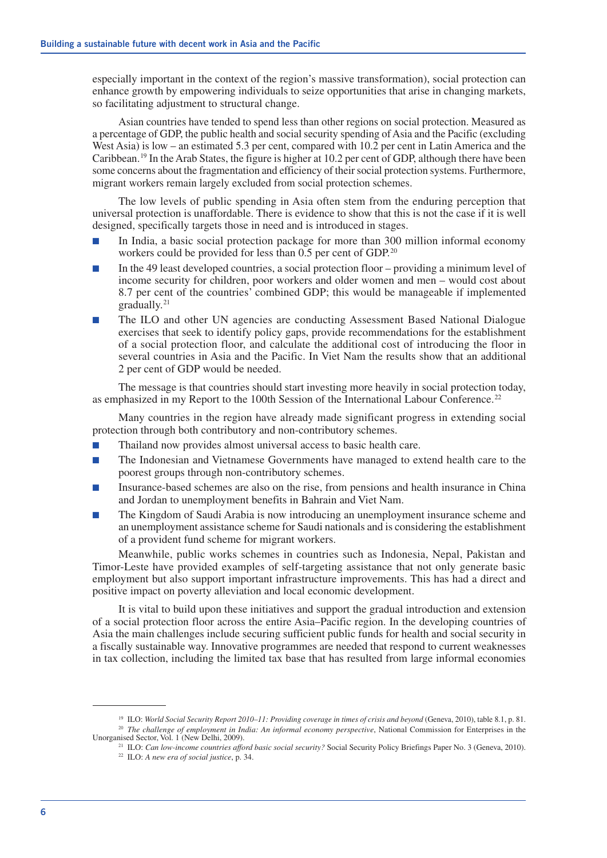especially important in the context of the region's massive transformation), social protection can enhance growth by empowering individuals to seize opportunities that arise in changing markets, so facilitating adjustment to structural change.

Asian countries have tended to spend less than other regions on social protection. Measured as a percentage of GDP, the public health and social security spending of Asia and the Pacific (excluding West Asia) is low – an estimated 5.3 per cent, compared with 10.2 per cent in Latin America and the Caribbean.19 In the Arab States, the figure is higher at 10.2 per cent of GDP, although there have been some concerns about the fragmentation and efficiency of their social protection systems. Furthermore, migrant workers remain largely excluded from social protection schemes.

The low levels of public spending in Asia often stem from the enduring perception that universal protection is unaffordable. There is evidence to show that this is not the case if it is well designed, specifically targets those in need and is introduced in stages.

- In India, a basic social protection package for more than 300 million informal economy workers could be provided for less than 0.5 per cent of GDP.<sup>20</sup>
- In the 49 least developed countries, a social protection floor providing a minimum level of income security for children, poor workers and older women and men – would cost about 8.7 per cent of the countries' combined GDP; this would be manageable if implemented gradually.<sup>21</sup>
- The ILO and other UN agencies are conducting Assessment Based National Dialogue exercises that seek to identify policy gaps, provide recommendations for the establishment of a social protection floor, and calculate the additional cost of introducing the floor in several countries in Asia and the Pacific. In Viet Nam the results show that an additional 2 per cent of GDP would be needed.

The message is that countries should start investing more heavily in social protection today, as emphasized in my Report to the 100th Session of the International Labour Conference.<sup>22</sup>

Many countries in the region have already made significant progress in extending social protection through both contributory and non-contributory schemes.

- Thailand now provides almost universal access to basic health care.
- The Indonesian and Vietnamese Governments have managed to extend health care to the poorest groups through non-contributory schemes.
- Insurance-based schemes are also on the rise, from pensions and health insurance in China and Jordan to unemployment benefits in Bahrain and Viet Nam.
- The Kingdom of Saudi Arabia is now introducing an unemployment insurance scheme and an unemployment assistance scheme for Saudi nationals and is considering the establishment of a provident fund scheme for migrant workers.

Meanwhile, public works schemes in countries such as Indonesia, Nepal, Pakistan and Timor-Leste have provided examples of self-targeting assistance that not only generate basic employment but also support important infrastructure improvements. This has had a direct and positive impact on poverty alleviation and local economic development.

It is vital to build upon these initiatives and support the gradual introduction and extension of a social protection floor across the entire Asia–Pacific region. In the developing countries of Asia the main challenges include securing sufficient public funds for health and social security in a fiscally sustainable way. Innovative programmes are needed that respond to current weaknesses in tax collection, including the limited tax base that has resulted from large informal economies

<sup>&</sup>lt;sup>19</sup> ILO: *World Social Security Report 2010–11: Providing coverage in times of crisis and beyond (Geneva, 2010), table 8.1, p. 81.* 

<sup>&</sup>lt;sup>20</sup> *The challenge of employment in India: An informal economy perspective*, National Commission for Enterprises in the Unorganised Sector, Vol. 1 (New Delhi, 2009).

<sup>&</sup>lt;sup>21</sup> ILO: *Can low-income countries afford basic social security?* Social Security Policy Briefings Paper No. 3 (Geneva, 2010).

<sup>22</sup> ILO: *A new era of social justice*, p. 34.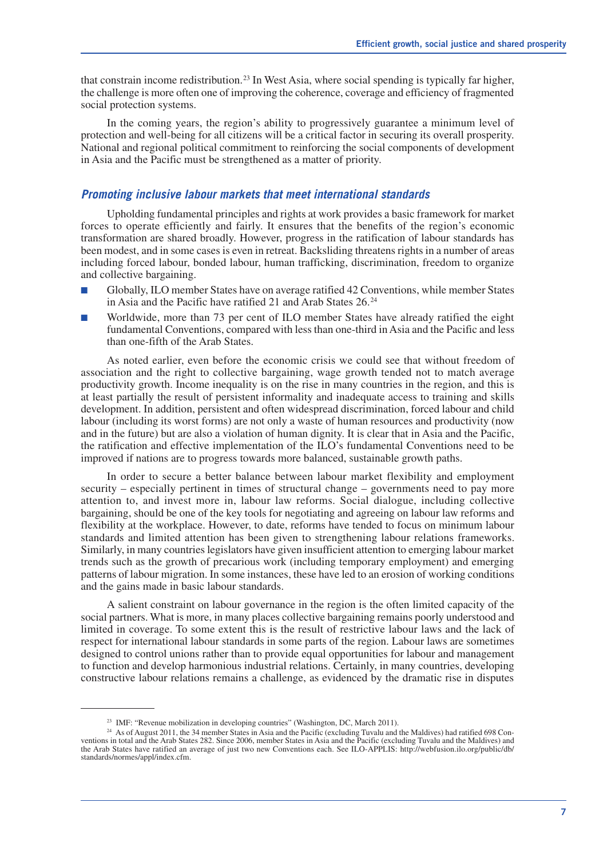that constrain income redistribution.<sup>23</sup> In West Asia, where social spending is typically far higher, the challenge is more often one of improving the coherence, coverage and efficiency of fragmented social protection systems.

In the coming years, the region's ability to progressively guarantee a minimum level of protection and well-being for all citizens will be a critical factor in securing its overall prosperity. National and regional political commitment to reinforcing the social components of development in Asia and the Pacific must be strengthened as a matter of priority.

#### *Promoting inclusive labour markets that meet international standards*

Upholding fundamental principles and rights at work provides a basic framework for market forces to operate efficiently and fairly. It ensures that the benefits of the region's economic transformation are shared broadly. However, progress in the ratification of labour standards has been modest, and in some cases is even in retreat. Backsliding threatens rights in a number of areas including forced labour, bonded labour, human trafficking, discrimination, freedom to organize and collective bargaining.

- Globally, ILO member States have on average ratified 42 Conventions, while member States in Asia and the Pacific have ratified 21 and Arab States 26.<sup>24</sup>
- Worldwide, more than 73 per cent of ILO member States have already ratified the eight fundamental Conventions, compared with less than one-third in Asia and the Pacific and less than one-fifth of the Arab States.

As noted earlier, even before the economic crisis we could see that without freedom of association and the right to collective bargaining, wage growth tended not to match average productivity growth. Income inequality is on the rise in many countries in the region, and this is at least partially the result of persistent informality and inadequate access to training and skills development. In addition, persistent and often widespread discrimination, forced labour and child labour (including its worst forms) are not only a waste of human resources and productivity (now and in the future) but are also a violation of human dignity. It is clear that in Asia and the Pacific, the ratification and effective implementation of the ILO's fundamental Conventions need to be improved if nations are to progress towards more balanced, sustainable growth paths.

In order to secure a better balance between labour market flexibility and employment security – especially pertinent in times of structural change – governments need to pay more attention to, and invest more in, labour law reforms. Social dialogue, including collective bargaining, should be one of the key tools for negotiating and agreeing on labour law reforms and flexibility at the workplace. However, to date, reforms have tended to focus on minimum labour standards and limited attention has been given to strengthening labour relations frameworks. Similarly, in many countries legislators have given insufficient attention to emerging labour market trends such as the growth of precarious work (including temporary employment) and emerging patterns of labour migration. In some instances, these have led to an erosion of working conditions and the gains made in basic labour standards.

A salient constraint on labour governance in the region is the often limited capacity of the social partners. What is more, in many places collective bargaining remains poorly understood and limited in coverage. To some extent this is the result of restrictive labour laws and the lack of respect for international labour standards in some parts of the region. Labour laws are sometimes designed to control unions rather than to provide equal opportunities for labour and management to function and develop harmonious industrial relations. Certainly, in many countries, developing constructive labour relations remains a challenge, as evidenced by the dramatic rise in disputes

<sup>&</sup>lt;sup>23</sup> IMF: "Revenue mobilization in developing countries" (Washington, DC, March 2011).

<sup>&</sup>lt;sup>24</sup> As of August 2011, the 34 member States in Asia and the Pacific (excluding Tuvalu and the Maldives) had ratified 698 Conventions in total and the Arab States 282. Since 2006, member States in Asia and the Pacific (excluding Tuvalu and the Maldives) and the Arab States have ratified an average of just two new Conventions each. See ILO-APPLIS: http://webfusion.ilo.org/public/db/ standards/normes/appl/index.cfm.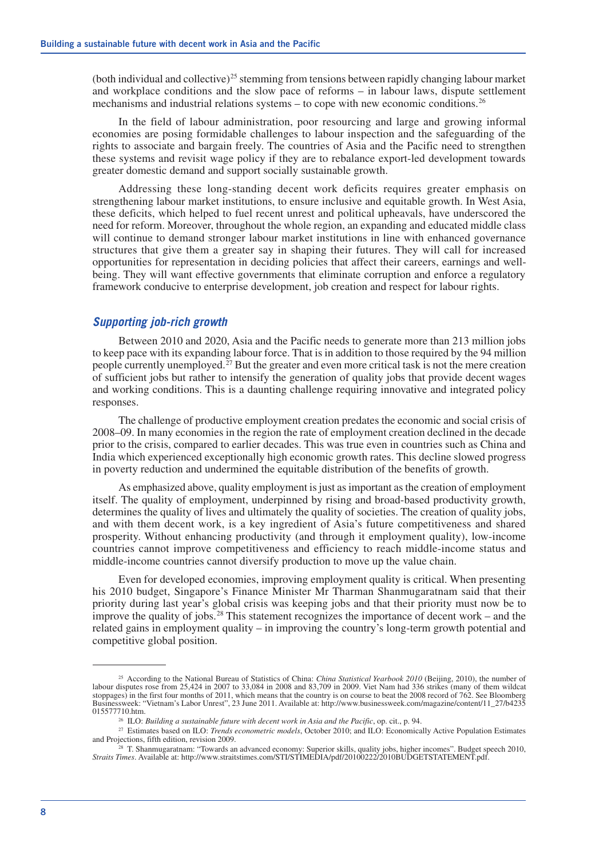(both individual and collective)<sup>25</sup> stemming from tensions between rapidly changing labour market and workplace conditions and the slow pace of reforms – in labour laws, dispute settlement mechanisms and industrial relations systems – to cope with new economic conditions.26

In the field of labour administration, poor resourcing and large and growing informal economies are posing formidable challenges to labour inspection and the safeguarding of the rights to associate and bargain freely. The countries of Asia and the Pacific need to strengthen these systems and revisit wage policy if they are to rebalance export-led development towards greater domestic demand and support socially sustainable growth.

Addressing these long-standing decent work deficits requires greater emphasis on strengthening labour market institutions, to ensure inclusive and equitable growth. In West Asia, these deficits, which helped to fuel recent unrest and political upheavals, have underscored the need for reform. Moreover, throughout the whole region, an expanding and educated middle class will continue to demand stronger labour market institutions in line with enhanced governance structures that give them a greater say in shaping their futures. They will call for increased opportunities for representation in deciding policies that affect their careers, earnings and wellbeing. They will want effective governments that eliminate corruption and enforce a regulatory framework conducive to enterprise development, job creation and respect for labour rights.

#### *Supporting job-rich growth*

Between 2010 and 2020, Asia and the Pacific needs to generate more than 213 million jobs to keep pace with its expanding labour force. That is in addition to those required by the 94 million people currently unemployed.<sup>27</sup> But the greater and even more critical task is not the mere creation of sufficient jobs but rather to intensify the generation of quality jobs that provide decent wages and working conditions. This is a daunting challenge requiring innovative and integrated policy responses.

The challenge of productive employment creation predates the economic and social crisis of 2008–09. In many economies in the region the rate of employment creation declined in the decade prior to the crisis, compared to earlier decades. This was true even in countries such as China and India which experienced exceptionally high economic growth rates. This decline slowed progress in poverty reduction and undermined the equitable distribution of the benefits of growth.

As emphasized above, quality employment is just as important as the creation of employment itself. The quality of employment, underpinned by rising and broad-based productivity growth, determines the quality of lives and ultimately the quality of societies. The creation of quality jobs, and with them decent work, is a key ingredient of Asia's future competitiveness and shared prosperity. Without enhancing productivity (and through it employment quality), low-income countries cannot improve competitiveness and efficiency to reach middle-income status and middle-income countries cannot diversify production to move up the value chain.

Even for developed economies, improving employment quality is critical. When presenting his 2010 budget, Singapore's Finance Minister Mr Tharman Shanmugaratnam said that their priority during last year's global crisis was keeping jobs and that their priority must now be to improve the quality of jobs.<sup>28</sup> This statement recognizes the importance of decent work – and the related gains in employment quality – in improving the country's long-term growth potential and competitive global position.

<sup>&</sup>lt;sup>25</sup> According to the National Bureau of Statistics of China: *China Statistical Yearbook 2010* (Beijing, 2010), the number of labour disputes rose from 25,424 in 2007 to 33,084 in 2008 and 83,709 in 2009. Viet Nam had 336 strikes (many of them wildcat stoppages) in the first four months of 2011, which means that the country is on course to beat the 2008 record of 762. See Bloomberg Businessweek: "Vietnam's Labor Unrest", 23 June 2011. Available at: http://www.businessweek.com/magazine/content/11\_27/b4235 015577710.htm. 26 ILO: *Building a sustainable future with decent work in Asia and the Pacific*, op. cit., p. 94.

<sup>&</sup>lt;sup>27</sup> Estimates based on ILO: *Trends econometric models*, October 2010; and ILO: Economically Active Population Estimates and Projections, fifth edition, revision 2009.

 $28$  T. Shanmugaratnam: "Towards an advanced economy: Superior skills, quality jobs, higher incomes". Budget speech 2010, *Straits Times*. Available at: http://www.straitstimes.com/STI/STIMEDIA/pdf/20100222/2010BUDGETSTATEMENT.pdf.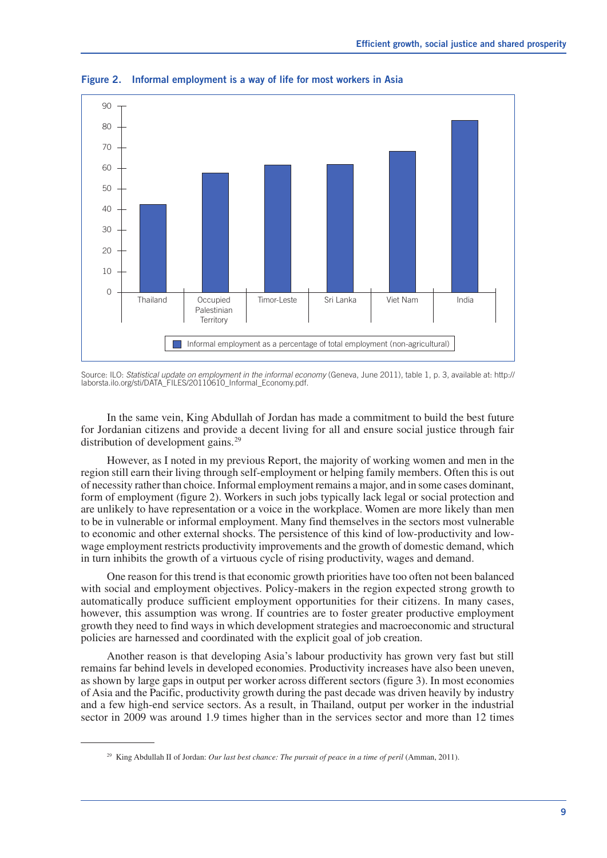

**Figure 2. Informal employment is a way of life for most workers in Asia**

Source: ILO: *Statistical update on employment in the informal economy* (Geneva, June 2011), table 1, p. 3, available at: http:// laborsta.ilo.org/sti/DATA\_FILES/20110610\_Informal\_Economy.pdf.

In the same vein, King Abdullah of Jordan has made a commitment to build the best future for Jordanian citizens and provide a decent living for all and ensure social justice through fair distribution of development gains.<sup>29</sup>

However, as I noted in my previous Report, the majority of working women and men in the region still earn their living through self-employment or helping family members. Often this is out of necessity rather than choice. Informal employment remains a major, and in some cases dominant, form of employment (figure 2). Workers in such jobs typically lack legal or social protection and are unlikely to have representation or a voice in the workplace. Women are more likely than men to be in vulnerable or informal employment. Many find themselves in the sectors most vulnerable to economic and other external shocks. The persistence of this kind of low-productivity and lowwage employment restricts productivity improvements and the growth of domestic demand, which in turn inhibits the growth of a virtuous cycle of rising productivity, wages and demand.

One reason for this trend is that economic growth priorities have too often not been balanced with social and employment objectives. Policy-makers in the region expected strong growth to automatically produce sufficient employment opportunities for their citizens. In many cases, however, this assumption was wrong. If countries are to foster greater productive employment growth they need to find ways in which development strategies and macroeconomic and structural policies are harnessed and coordinated with the explicit goal of job creation.

Another reason is that developing Asia's labour productivity has grown very fast but still remains far behind levels in developed economies. Productivity increases have also been uneven, as shown by large gaps in output per worker across different sectors (figure 3). In most economies of Asia and the Pacific, productivity growth during the past decade was driven heavily by industry and a few high-end service sectors. As a result, in Thailand, output per worker in the industrial sector in 2009 was around 1.9 times higher than in the services sector and more than 12 times

<sup>&</sup>lt;sup>29</sup> King Abdullah II of Jordan: *Our last best chance: The pursuit of peace in a time of peril* (Amman, 2011).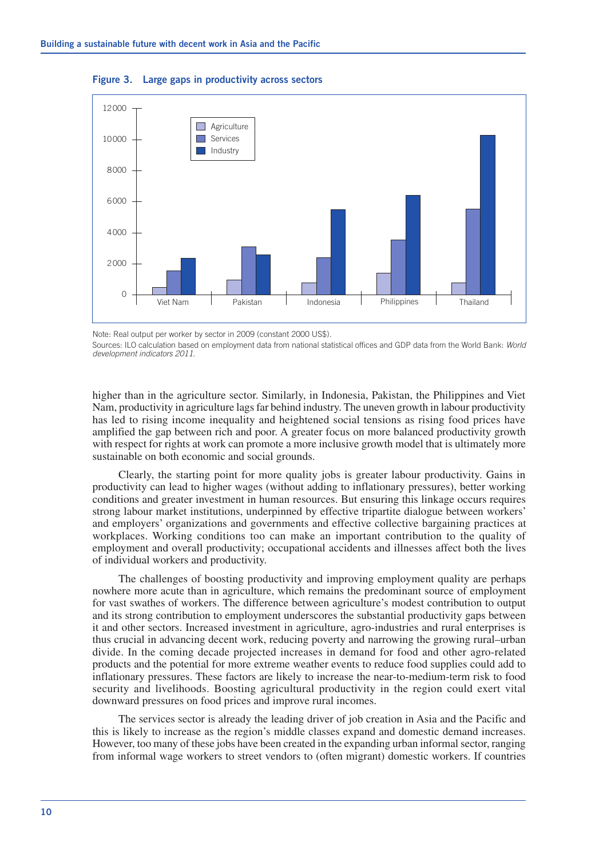

**Figure 3. Large gaps in productivity across sectors**

Note: Real output per worker by sector in 2009 (constant 2000 US\$).

Sources: ILO calculation based on employment data from national statistical offices and GDP data from the World Bank: *World development indicators 2011*.

higher than in the agriculture sector. Similarly, in Indonesia, Pakistan, the Philippines and Viet Nam, productivity in agriculture lags far behind industry. The uneven growth in labour productivity has led to rising income inequality and heightened social tensions as rising food prices have amplified the gap between rich and poor. A greater focus on more balanced productivity growth with respect for rights at work can promote a more inclusive growth model that is ultimately more sustainable on both economic and social grounds.

Clearly, the starting point for more quality jobs is greater labour productivity. Gains in productivity can lead to higher wages (without adding to inflationary pressures), better working conditions and greater investment in human resources. But ensuring this linkage occurs requires strong labour market institutions, underpinned by effective tripartite dialogue between workers' and employers' organizations and governments and effective collective bargaining practices at workplaces. Working conditions too can make an important contribution to the quality of employment and overall productivity; occupational accidents and illnesses affect both the lives of individual workers and productivity.

The challenges of boosting productivity and improving employment quality are perhaps nowhere more acute than in agriculture, which remains the predominant source of employment for vast swathes of workers. The difference between agriculture's modest contribution to output and its strong contribution to employment underscores the substantial productivity gaps between it and other sectors. Increased investment in agriculture, agro-industries and rural enterprises is thus crucial in advancing decent work, reducing poverty and narrowing the growing rural–urban divide. In the coming decade projected increases in demand for food and other agro-related products and the potential for more extreme weather events to reduce food supplies could add to inflationary pressures. These factors are likely to increase the near-to-medium-term risk to food security and livelihoods. Boosting agricultural productivity in the region could exert vital downward pressures on food prices and improve rural incomes.

The services sector is already the leading driver of job creation in Asia and the Pacific and this is likely to increase as the region's middle classes expand and domestic demand increases. However, too many of these jobs have been created in the expanding urban informal sector, ranging from informal wage workers to street vendors to (often migrant) domestic workers. If countries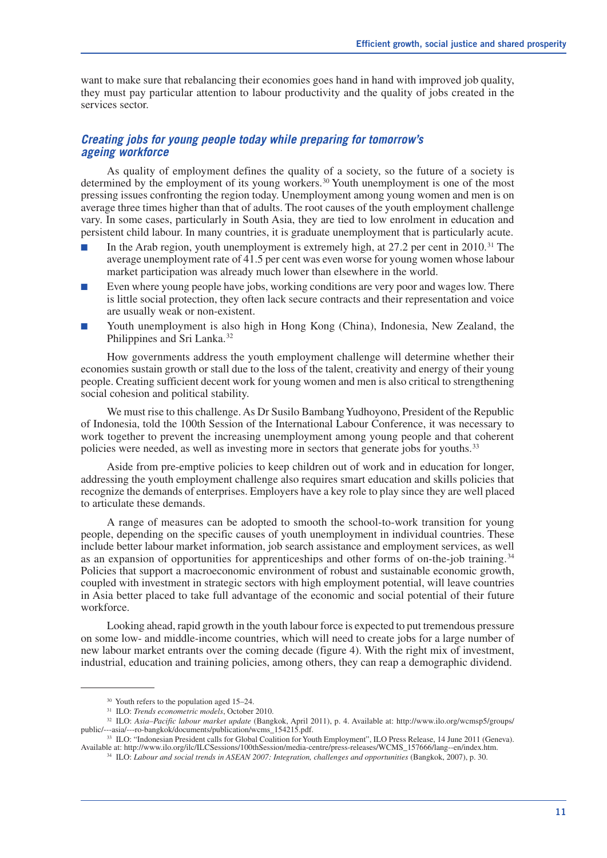want to make sure that rebalancing their economies goes hand in hand with improved job quality, they must pay particular attention to labour productivity and the quality of jobs created in the services sector.

#### *Creating jobs for young people today while preparing for tomorrow's ageing workforce*

As quality of employment defines the quality of a society, so the future of a society is determined by the employment of its young workers.<sup>30</sup> Youth unemployment is one of the most pressing issues confronting the region today. Unemployment among young women and men is on average three times higher than that of adults. The root causes of the youth employment challenge vary. In some cases, particularly in South Asia, they are tied to low enrolment in education and persistent child labour. In many countries, it is graduate unemployment that is particularly acute.

- In the Arab region, youth unemployment is extremely high, at  $27.2$  per cent in  $2010$ <sup>31</sup>. The average unemployment rate of 41.5 per cent was even worse for young women whose labour market participation was already much lower than elsewhere in the world.
- Even where young people have jobs, working conditions are very poor and wages low. There is little social protection, they often lack secure contracts and their representation and voice are usually weak or non-existent.
- Youth unemployment is also high in Hong Kong (China), Indonesia, New Zealand, the Philippines and Sri Lanka.<sup>32</sup>

How governments address the youth employment challenge will determine whether their economies sustain growth or stall due to the loss of the talent, creativity and energy of their young people. Creating sufficient decent work for young women and men is also critical to strengthening social cohesion and political stability.

We must rise to this challenge. As Dr Susilo Bambang Yudhoyono, President of the Republic of Indonesia, told the 100th Session of the International Labour Conference, it was necessary to work together to prevent the increasing unemployment among young people and that coherent policies were needed, as well as investing more in sectors that generate jobs for youths.<sup>33</sup>

Aside from pre-emptive policies to keep children out of work and in education for longer, addressing the youth employment challenge also requires smart education and skills policies that recognize the demands of enterprises. Employers have a key role to play since they are well placed to articulate these demands.

A range of measures can be adopted to smooth the school-to-work transition for young people, depending on the specific causes of youth unemployment in individual countries. These include better labour market information, job search assistance and employment services, as well as an expansion of opportunities for apprenticeships and other forms of on-the-job training.<sup>34</sup> Policies that support a macroeconomic environment of robust and sustainable economic growth, coupled with investment in strategic sectors with high employment potential, will leave countries in Asia better placed to take full advantage of the economic and social potential of their future workforce.

Looking ahead, rapid growth in the youth labour force is expected to put tremendous pressure on some low- and middle-income countries, which will need to create jobs for a large number of new labour market entrants over the coming decade (figure 4). With the right mix of investment, industrial, education and training policies, among others, they can reap a demographic dividend.

<sup>30</sup> Youth refers to the population aged 15–24.

<sup>31</sup> ILO: *Trends econometric models*, October 2010.

<sup>32</sup> ILO: *Asia–Pacific labour market update* (Bangkok, April 2011), p. 4. Available at: http://www.ilo.org/wcmsp5/groups/ public/---asia/---ro-bangkok/documents/publication/wcms\_154215.pdf.

<sup>33</sup> ILO: "Indonesian President calls for Global Coalition for Youth Employment", ILO Press Release, 14 June 2011 (Geneva). Available at: http://www.ilo.org/ilc/ILCSessions/100thSession/media-centre/press-releases/WCMS\_157666/lang--en/index.htm.

<sup>34</sup> ILO: *Labour and social trends in ASEAN 2007: Integration, challenges and opportunities* (Bangkok, 2007), p. 30.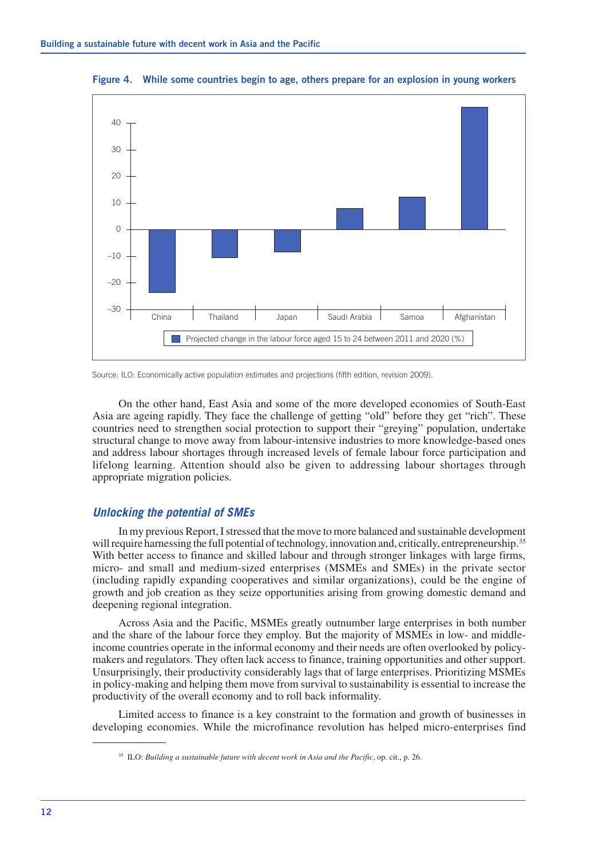

**Figure 4. While some countries begin to age, others prepare for an explosion in young workers**

Source: ILO: Economically active population estimates and projections (fifth edition, revision 2009).

On the other hand, East Asia and some of the more developed economies of South-East Asia are ageing rapidly. They face the challenge of getting "old" before they get "rich". These countries need to strengthen social protection to support their "greying" population, undertake structural change to move away from labour-intensive industries to more knowledge-based ones and address labour shortages through increased levels of female labour force participation and lifelong learning. Attention should also be given to addressing labour shortages through appropriate migration policies.

#### *Unlocking the potential of SMEs*

In my previous Report, I stressed that the move to more balanced and sustainable development will require harnessing the full potential of technology, innovation and, critically, entrepreneurship.<sup>35</sup> With better access to finance and skilled labour and through stronger linkages with large firms, micro- and small and medium-sized enterprises (MSMEs and SMEs) in the private sector (including rapidly expanding cooperatives and similar organizations), could be the engine of growth and job creation as they seize opportunities arising from growing domestic demand and deepening regional integration.

Across Asia and the Pacific, MSMEs greatly outnumber large enterprises in both number and the share of the labour force they employ. But the majority of MSMEs in low- and middleincome countries operate in the informal economy and their needs are often overlooked by policymakers and regulators. They often lack access to finance, training opportunities and other support. Unsurprisingly, their productivity considerably lags that of large enterprises. Prioritizing MSMEs in policy-making and helping them move from survival to sustainability is essential to increase the productivity of the overall economy and to roll back informality.

Limited access to finance is a key constraint to the formation and growth of businesses in developing economies. While the microfinance revolution has helped micro-enterprises find

<sup>35</sup> ILO: *Building a sustainable future with decent work in Asia and the Pacific*, op. cit., p. 26.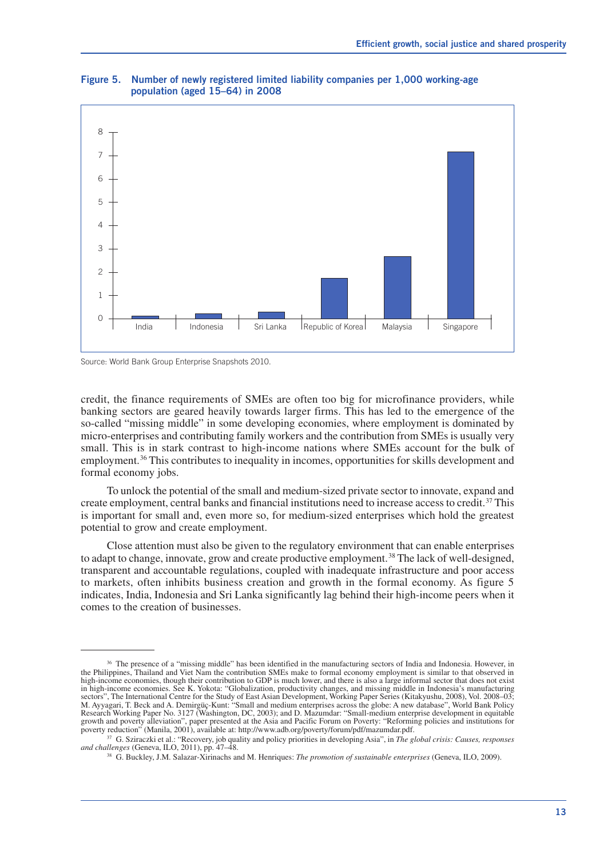

#### **Figure 5. Number of newly registered limited liability companies per 1,000 working-age population (aged 15–64) in 2008**

Source: World Bank Group Enterprise Snapshots 2010.

credit, the finance requirements of SMEs are often too big for microfinance providers, while banking sectors are geared heavily towards larger firms. This has led to the emergence of the so-called "missing middle" in some developing economies, where employment is dominated by micro-enterprises and contributing family workers and the contribution from SMEs is usually very small. This is in stark contrast to high-income nations where SMEs account for the bulk of employment.<sup>36</sup> This contributes to inequality in incomes, opportunities for skills development and formal economy jobs.

To unlock the potential of the small and medium-sized private sector to innovate, expand and create employment, central banks and financial institutions need to increase access to credit.37 This is important for small and, even more so, for medium-sized enterprises which hold the greatest potential to grow and create employment.

Close attention must also be given to the regulatory environment that can enable enterprises to adapt to change, innovate, grow and create productive employment.38 The lack of well-designed, transparent and accountable regulations, coupled with inadequate infrastructure and poor access to markets, often inhibits business creation and growth in the formal economy. As figure 5 indicates, India, Indonesia and Sri Lanka significantly lag behind their high-income peers when it comes to the creation of businesses.

<sup>&</sup>lt;sup>36</sup> The presence of a "missing middle" has been identified in the manufacturing sectors of India and Indonesia. However, in the Philippines, Thailand and Viet Nam the contribution SMEs make to formal economy employment is similar to that observed in high-income economies, though their contribution to GDP is much lower, and there is also a large informal sector that does not exist in high-income economies. See K. Yokota: "Globalization, productivity changes, and missing middle in Indonesia's manufacturing sectors", The International Centre for the Study of East Asian Development, Working Paper Series (Kitakyushu, 2008), Vol. 2008–03; M. Ayyagari, T. Beck and A. Demirgüç-Kunt: "Small and medium enterprises across the globe: A new database", World Bank Policy Research Working Paper No. 3127 (Washington, DC, 2003); and D. Mazumdar: "Small-medium enterprise development in equitable growth and poverty alleviation", paper presented at the Asia and Pacific Forum on Poverty: "Reforming policies and institutions for poverty reduction" (Manila, 2001), available at: http://www.adb.org/poverty/forum/pdf/mazu poverty reduction" (Manila, 2001), available at: http://www.adb.org/poverty/forum/pdf/mazumdar.pdf.<br><sup>37</sup> G. Sziraczki et al.: "Recovery, job quality and policy priorities in developing Asia", in *The global crisis: Causes,* 

*and challenges* (Geneva, ILO, 2011), pp. 47–48.

<sup>38</sup> G. Buckley, J.M. Salazar-Xirinachs and M. Henriques: *The promotion of sustainable enterprises* (Geneva, ILO, 2009).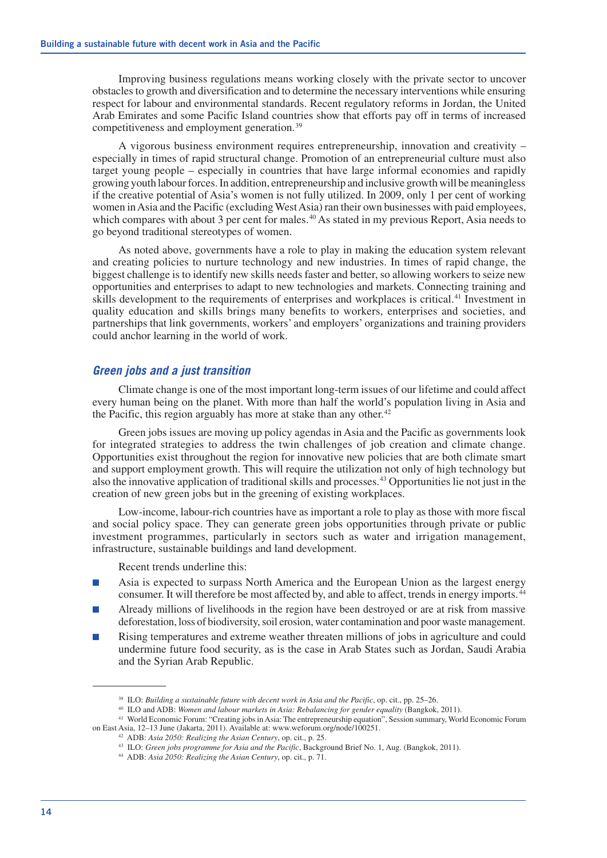Improving business regulations means working closely with the private sector to uncover obstacles to growth and diversification and to determine the necessary interventions while ensuring respect for labour and environmental standards. Recent regulatory reforms in Jordan, the United Arab Emirates and some Pacific Island countries show that efforts pay off in terms of increased competitiveness and employment generation.39

A vigorous business environment requires entrepreneurship, innovation and creativity – especially in times of rapid structural change. Promotion of an entrepreneurial culture must also target young people – especially in countries that have large informal economies and rapidly growing youth labour forces. In addition, entrepreneurship and inclusive growth will be meaningless if the creative potential of Asia's women is not fully utilized. In 2009, only 1 per cent of working women in Asia and the Pacific (excluding West Asia) ran their own businesses with paid employees, which compares with about 3 per cent for males.<sup>40</sup> As stated in my previous Report, Asia needs to go beyond traditional stereotypes of women.

As noted above, governments have a role to play in making the education system relevant and creating policies to nurture technology and new industries. In times of rapid change, the biggest challenge is to identify new skills needs faster and better, so allowing workers to seize new opportunities and enterprises to adapt to new technologies and markets. Connecting training and skills development to the requirements of enterprises and workplaces is critical.<sup>41</sup> Investment in quality education and skills brings many benefits to workers, enterprises and societies, and partnerships that link governments, workers' and employers' organizations and training providers could anchor learning in the world of work.

#### *Green jobs and a just transition*

Climate change is one of the most important long-term issues of our lifetime and could affect every human being on the planet. With more than half the world's population living in Asia and the Pacific, this region arguably has more at stake than any other. $42$ 

Green jobs issues are moving up policy agendas in Asia and the Pacific as governments look for integrated strategies to address the twin challenges of job creation and climate change. Opportunities exist throughout the region for innovative new policies that are both climate smart and support employment growth. This will require the utilization not only of high technology but also the innovative application of traditional skills and processes.43 Opportunities lie not just in the creation of new green jobs but in the greening of existing workplaces.

Low-income, labour-rich countries have as important a role to play as those with more fiscal and social policy space. They can generate green jobs opportunities through private or public investment programmes, particularly in sectors such as water and irrigation management, infrastructure, sustainable buildings and land development.

Recent trends underline this:

- Asia is expected to surpass North America and the European Union as the largest energy consumer. It will therefore be most affected by, and able to affect, trends in energy imports. <sup>44</sup>
- Already millions of livelihoods in the region have been destroyed or are at risk from massive deforestation, loss of biodiversity, soil erosion, water contamination and poor waste management.
- Rising temperatures and extreme weather threaten millions of jobs in agriculture and could undermine future food security, as is the case in Arab States such as Jordan, Saudi Arabia and the Syrian Arab Republic.

<sup>&</sup>lt;sup>39</sup> ILO: *Building a sustainable future with decent work in Asia and the Pacific*, op. cit., pp. 25–26.

<sup>40</sup> ILO and ADB: *Women and labour markets in Asia: Rebalancing for gender equality* (Bangkok, 2011).

<sup>41</sup> World Economic Forum: "Creating jobs in Asia: The entrepreneurship equation", Session summary, World Economic Forum on East Asia, 12–13 June (Jakarta, 2011). Available at: www.weforum.org/node/100251.

<sup>42</sup> ADB: *Asia 2050: Realizing the Asian Century*, op. cit., p. 25.

<sup>43</sup> ILO: *Green jobs programme for Asia and the Pacific*, Background Brief No. 1, Aug. (Bangkok, 2011).

<sup>44</sup> ADB: *Asia 2050: Realizing the Asian Century*, op. cit., p. 71.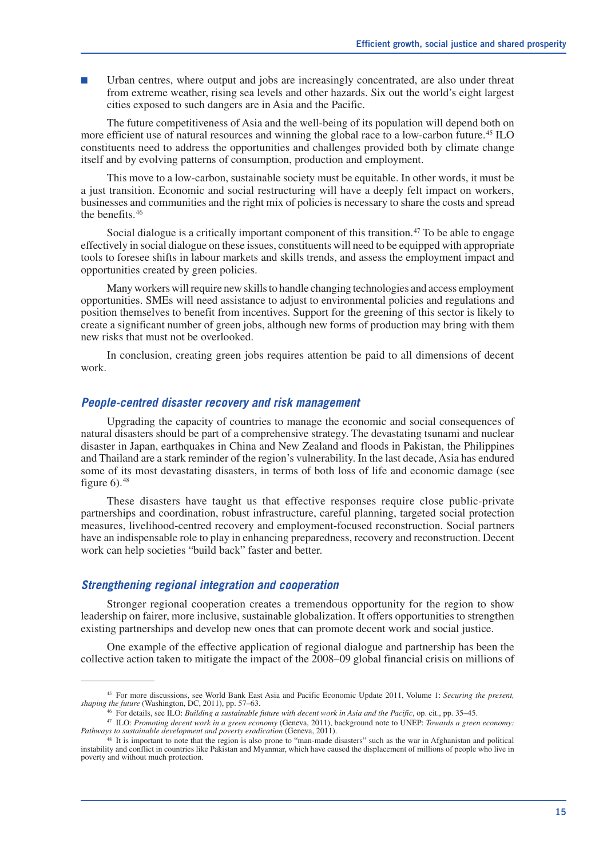Urban centres, where output and jobs are increasingly concentrated, are also under threat from extreme weather, rising sea levels and other hazards. Six out the world's eight largest cities exposed to such dangers are in Asia and the Pacific.

The future competitiveness of Asia and the well-being of its population will depend both on more efficient use of natural resources and winning the global race to a low-carbon future.<sup>45</sup> ILO constituents need to address the opportunities and challenges provided both by climate change itself and by evolving patterns of consumption, production and employment.

This move to a low-carbon, sustainable society must be equitable. In other words, it must be a just transition. Economic and social restructuring will have a deeply felt impact on workers, businesses and communities and the right mix of policies is necessary to share the costs and spread the benefits.46

Social dialogue is a critically important component of this transition.<sup>47</sup> To be able to engage effectively in social dialogue on these issues, constituents will need to be equipped with appropriate tools to foresee shifts in labour markets and skills trends, and assess the employment impact and opportunities created by green policies.

Many workers will require new skills to handle changing technologies and access employment opportunities. SMEs will need assistance to adjust to environmental policies and regulations and position themselves to benefit from incentives. Support for the greening of this sector is likely to create a significant number of green jobs, although new forms of production may bring with them new risks that must not be overlooked.

In conclusion, creating green jobs requires attention be paid to all dimensions of decent work.

#### *People-centred disaster recovery and risk management*

Upgrading the capacity of countries to manage the economic and social consequences of natural disasters should be part of a comprehensive strategy. The devastating tsunami and nuclear disaster in Japan, earthquakes in China and New Zealand and floods in Pakistan, the Philippines and Thailand are a stark reminder of the region's vulnerability. In the last decade, Asia has endured some of its most devastating disasters, in terms of both loss of life and economic damage (see figure  $6$ ).<sup>48</sup>

These disasters have taught us that effective responses require close public-private partnerships and coordination, robust infrastructure, careful planning, targeted social protection measures, livelihood-centred recovery and employment-focused reconstruction. Social partners have an indispensable role to play in enhancing preparedness, recovery and reconstruction. Decent work can help societies "build back" faster and better.

#### *Strengthening regional integration and cooperation*

Stronger regional cooperation creates a tremendous opportunity for the region to show leadership on fairer, more inclusive, sustainable globalization. It offers opportunities to strengthen existing partnerships and develop new ones that can promote decent work and social justice.

One example of the effective application of regional dialogue and partnership has been the collective action taken to mitigate the impact of the 2008–09 global financial crisis on millions of

<sup>45</sup> For more discussions, see World Bank East Asia and Pacific Economic Update 2011, Volume 1: *Securing the present, shaping the future* (Washington, DC, 2011), pp. 57–63.

<sup>46</sup> For details, see ILO: *Building a sustainable future with decent work in Asia and the Pacific*, op. cit., pp. 35–45.

<sup>47</sup> ILO: *Promoting decent work in a green economy* (Geneva, 2011), background note to UNEP: *Towards a green economy: Pathways to sustainable development and poverty eradication* (Geneva, 2011). <sup>48</sup> It is important to note that the region is also prone to "man-made disasters" such as the war in Afghanistan and political

instability and conflict in countries like Pakistan and Myanmar, which have caused the displacement of millions of people who live in poverty and without much protection.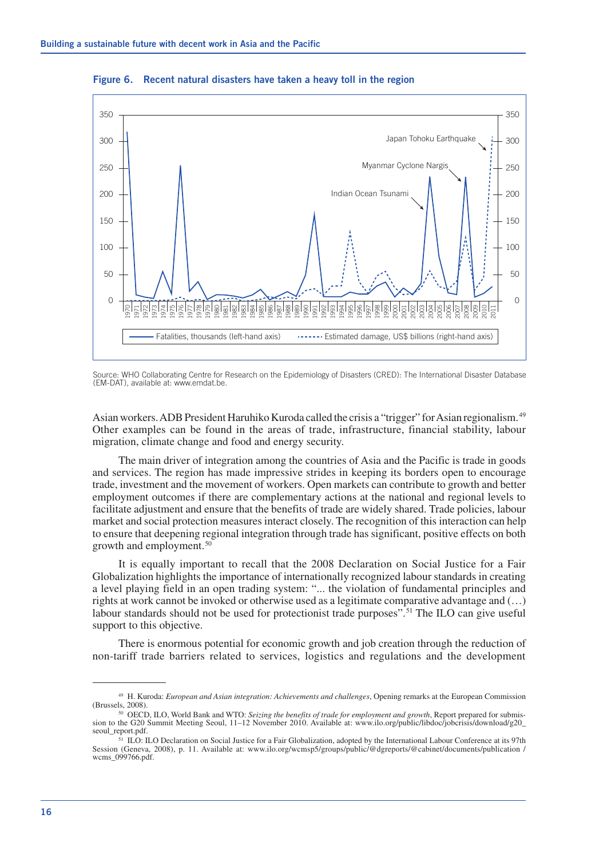

**Figure 6. Recent natural disasters have taken a heavy toll in the region**

Source: WHO Collaborating Centre for Research on the Epidemiology of Disasters (CRED): The International Disaster Database (EM-DAT), available at: www.emdat.be.

Asian workers. ADB President Haruhiko Kuroda called the crisis a "trigger" for Asian regionalism.49 Other examples can be found in the areas of trade, infrastructure, financial stability, labour migration, climate change and food and energy security.

The main driver of integration among the countries of Asia and the Pacific is trade in goods and services. The region has made impressive strides in keeping its borders open to encourage trade, investment and the movement of workers. Open markets can contribute to growth and better employment outcomes if there are complementary actions at the national and regional levels to facilitate adjustment and ensure that the benefits of trade are widely shared. Trade policies, labour market and social protection measures interact closely. The recognition of this interaction can help to ensure that deepening regional integration through trade has significant, positive effects on both growth and employment.50

It is equally important to recall that the 2008 Declaration on Social Justice for a Fair Globalization highlights the importance of internationally recognized labour standards in creating a level playing field in an open trading system: "... the violation of fundamental principles and rights at work cannot be invoked or otherwise used as a legitimate comparative advantage and (…) labour standards should not be used for protectionist trade purposes".<sup>51</sup> The ILO can give useful support to this objective.

There is enormous potential for economic growth and job creation through the reduction of non-tariff trade barriers related to services, logistics and regulations and the development

H. Kuroda: *European and Asian integration: Achievements and challenges*, Opening remarks at the European Commission

<sup>&</sup>lt;sup>50</sup> OECD, ILO, World Bank and WTO: *Seizing the benefits of trade for employment and growth*, Report prepared for submission to the G20 Summit Meeting Seoul, 11–12 November 2010. Available at: www.ilo.org/public/libdoc/jobcrisis/download/g20\_ seoul\_report.pdf.

 ILO: ILO Declaration on Social Justice for a Fair Globalization, adopted by the International Labour Conference at its 97th Session (Geneva, 2008), p. 11. Available at: www.ilo.org/wcmsp5/groups/public/@dgreports/@cabinet/documents/publication / wcms\_099766.pdf.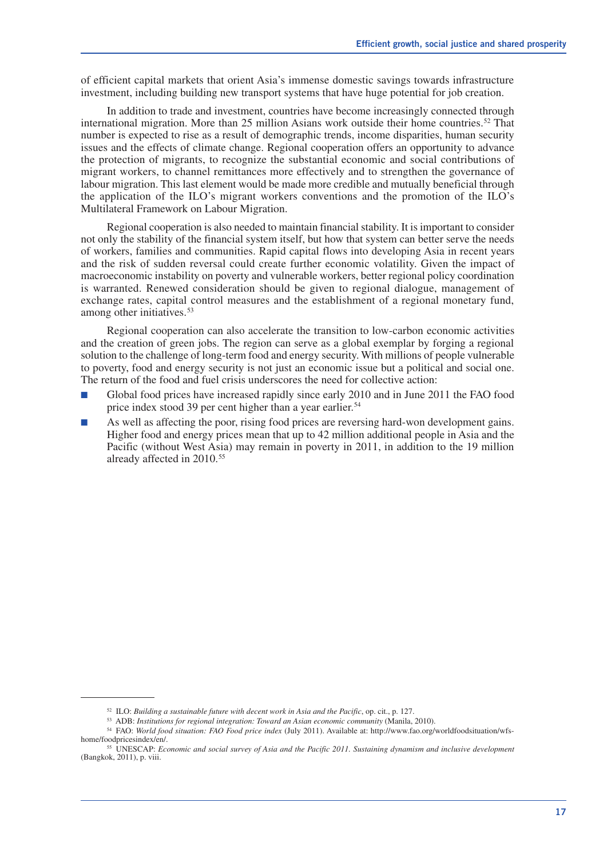of efficient capital markets that orient Asia's immense domestic savings towards infrastructure investment, including building new transport systems that have huge potential for job creation.

In addition to trade and investment, countries have become increasingly connected through international migration. More than 25 million Asians work outside their home countries.<sup>52</sup> That number is expected to rise as a result of demographic trends, income disparities, human security issues and the effects of climate change. Regional cooperation offers an opportunity to advance the protection of migrants, to recognize the substantial economic and social contributions of migrant workers, to channel remittances more effectively and to strengthen the governance of labour migration. This last element would be made more credible and mutually beneficial through the application of the ILO's migrant workers conventions and the promotion of the ILO's Multilateral Framework on Labour Migration.

Regional cooperation is also needed to maintain financial stability. It is important to consider not only the stability of the financial system itself, but how that system can better serve the needs of workers, families and communities. Rapid capital flows into developing Asia in recent years and the risk of sudden reversal could create further economic volatility. Given the impact of macroeconomic instability on poverty and vulnerable workers, better regional policy coordination is warranted. Renewed consideration should be given to regional dialogue, management of exchange rates, capital control measures and the establishment of a regional monetary fund, among other initiatives.<sup>53</sup>

Regional cooperation can also accelerate the transition to low-carbon economic activities and the creation of green jobs. The region can serve as a global exemplar by forging a regional solution to the challenge of long-term food and energy security. With millions of people vulnerable to poverty, food and energy security is not just an economic issue but a political and social one. The return of the food and fuel crisis underscores the need for collective action:

- Global food prices have increased rapidly since early 2010 and in June 2011 the FAO food price index stood 39 per cent higher than a year earlier.<sup>54</sup>
- As well as affecting the poor, rising food prices are reversing hard-won development gains. Higher food and energy prices mean that up to 42 million additional people in Asia and the Pacific (without West Asia) may remain in poverty in 2011, in addition to the 19 million already affected in 2010.<sup>55</sup>

<sup>52</sup> ILO: *Building a sustainable future with decent work in Asia and the Pacific*, op. cit., p. 127.

<sup>53</sup> ADB: *Institutions for regional integration: Toward an Asian economic community* (Manila, 2010).

<sup>54</sup> FAO: *World food situation: FAO Food price index* (July 2011). Available at: http://www.fao.org/worldfoodsituation/wfshome/foodpricesindex/en/.

<sup>55</sup> UNESCAP: *Economic and social survey of Asia and the Pacific 2011. Sustaining dynamism and inclusive development*  (Bangkok, 2011), p. viii.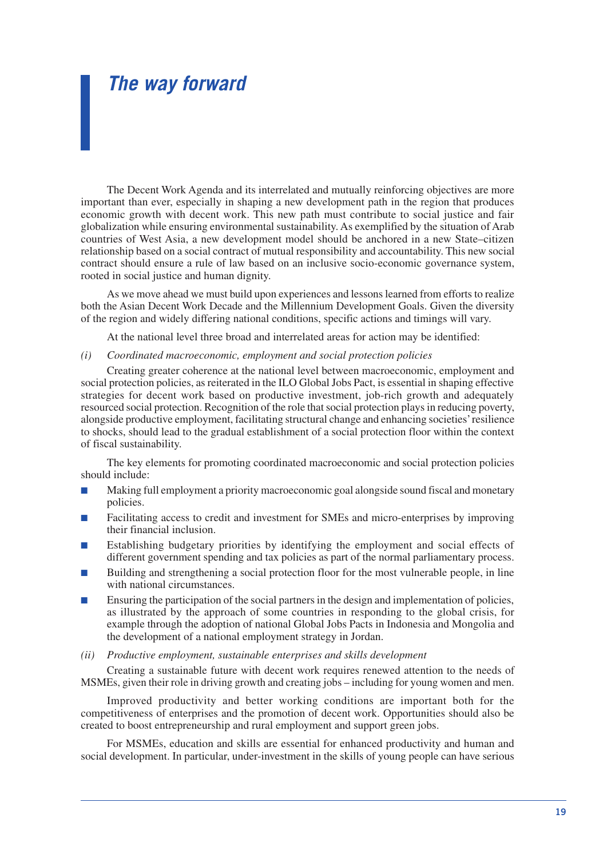## *The way forward*

The Decent Work Agenda and its interrelated and mutually reinforcing objectives are more important than ever, especially in shaping a new development path in the region that produces economic growth with decent work. This new path must contribute to social justice and fair globalization while ensuring environmental sustainability. As exemplified by the situation of Arab countries of West Asia, a new development model should be anchored in a new State–citizen relationship based on a social contract of mutual responsibility and accountability. This new social contract should ensure a rule of law based on an inclusive socio-economic governance system, rooted in social justice and human dignity.

As we move ahead we must build upon experiences and lessons learned from efforts to realize both the Asian Decent Work Decade and the Millennium Development Goals. Given the diversity of the region and widely differing national conditions, specific actions and timings will vary.

At the national level three broad and interrelated areas for action may be identified:

#### *(i) Coordinated macroeconomic, employment and social protection policies*

Creating greater coherence at the national level between macroeconomic, employment and social protection policies, as reiterated in the ILO Global Jobs Pact, is essential in shaping effective strategies for decent work based on productive investment, job-rich growth and adequately resourced social protection. Recognition of the role that social protection plays in reducing poverty, alongside productive employment, facilitating structural change and enhancing societies' resilience to shocks, should lead to the gradual establishment of a social protection floor within the context of fiscal sustainability.

The key elements for promoting coordinated macroeconomic and social protection policies should include:

- Making full employment a priority macroeconomic goal alongside sound fiscal and monetary policies.
- Facilitating access to credit and investment for SMEs and micro-enterprises by improving their financial inclusion.
- Establishing budgetary priorities by identifying the employment and social effects of different government spending and tax policies as part of the normal parliamentary process.
- Building and strengthening a social protection floor for the most vulnerable people, in line with national circumstances.
- Ensuring the participation of the social partners in the design and implementation of policies, as illustrated by the approach of some countries in responding to the global crisis, for example through the adoption of national Global Jobs Pacts in Indonesia and Mongolia and the development of a national employment strategy in Jordan.
- *(ii) Productive employment, sustainable enterprises and skills development*

Creating a sustainable future with decent work requires renewed attention to the needs of MSMEs, given their role in driving growth and creating jobs – including for young women and men.

Improved productivity and better working conditions are important both for the competitiveness of enterprises and the promotion of decent work. Opportunities should also be created to boost entrepreneurship and rural employment and support green jobs.

For MSMEs, education and skills are essential for enhanced productivity and human and social development. In particular, under-investment in the skills of young people can have serious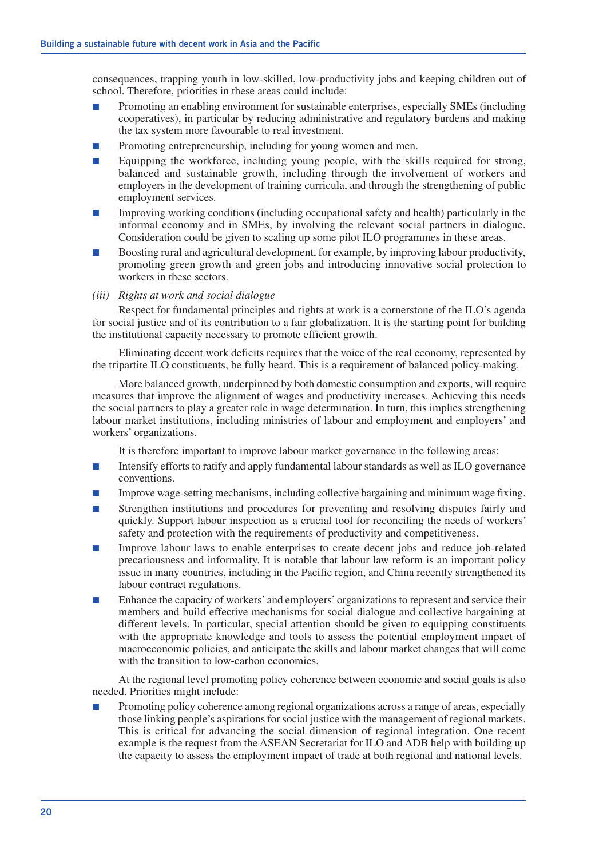consequences, trapping youth in low-skilled, low-productivity jobs and keeping children out of school. Therefore, priorities in these areas could include:

- Promoting an enabling environment for sustainable enterprises, especially SMEs (including cooperatives), in particular by reducing administrative and regulatory burdens and making the tax system more favourable to real investment.
- Promoting entrepreneurship, including for young women and men.
- Equipping the workforce, including young people, with the skills required for strong, balanced and sustainable growth, including through the involvement of workers and employers in the development of training curricula, and through the strengthening of public employment services.
- Improving working conditions (including occupational safety and health) particularly in the informal economy and in SMEs, by involving the relevant social partners in dialogue. Consideration could be given to scaling up some pilot ILO programmes in these areas.
- Boosting rural and agricultural development, for example, by improving labour productivity, promoting green growth and green jobs and introducing innovative social protection to workers in these sectors.
- *(iii) Rights at work and social dialogue*

Respect for fundamental principles and rights at work is a cornerstone of the ILO's agenda for social justice and of its contribution to a fair globalization. It is the starting point for building the institutional capacity necessary to promote efficient growth.

Eliminating decent work deficits requires that the voice of the real economy, represented by the tripartite ILO constituents, be fully heard. This is a requirement of balanced policy-making.

More balanced growth, underpinned by both domestic consumption and exports, will require measures that improve the alignment of wages and productivity increases. Achieving this needs the social partners to play a greater role in wage determination. In turn, this implies strengthening labour market institutions, including ministries of labour and employment and employers' and workers' organizations.

It is therefore important to improve labour market governance in the following areas:

- Intensify efforts to ratify and apply fundamental labour standards as well as ILO governance conventions.
- Improve wage-setting mechanisms, including collective bargaining and minimum wage fixing.
- Strengthen institutions and procedures for preventing and resolving disputes fairly and quickly. Support labour inspection as a crucial tool for reconciling the needs of workers' safety and protection with the requirements of productivity and competitiveness.
- Improve labour laws to enable enterprises to create decent jobs and reduce job-related precariousness and informality. It is notable that labour law reform is an important policy issue in many countries, including in the Pacific region, and China recently strengthened its labour contract regulations.
- Enhance the capacity of workers' and employers' organizations to represent and service their members and build effective mechanisms for social dialogue and collective bargaining at different levels. In particular, special attention should be given to equipping constituents with the appropriate knowledge and tools to assess the potential employment impact of macroeconomic policies, and anticipate the skills and labour market changes that will come with the transition to low-carbon economies.

At the regional level promoting policy coherence between economic and social goals is also needed. Priorities might include:

Promoting policy coherence among regional organizations across a range of areas, especially those linking people's aspirations for social justice with the management of regional markets. This is critical for advancing the social dimension of regional integration. One recent example is the request from the ASEAN Secretariat for ILO and ADB help with building up the capacity to assess the employment impact of trade at both regional and national levels.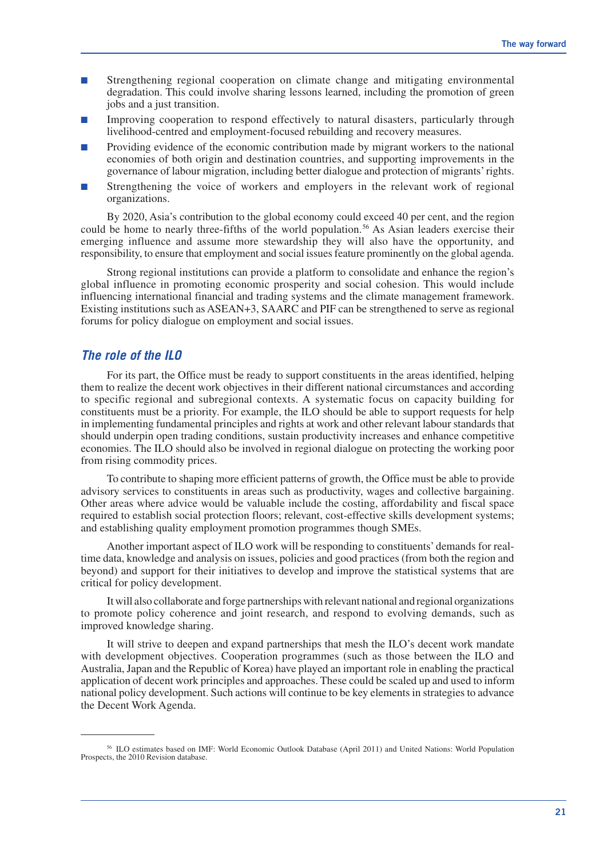- Strengthening regional cooperation on climate change and mitigating environmental degradation. This could involve sharing lessons learned, including the promotion of green jobs and a just transition.
- Improving cooperation to respond effectively to natural disasters, particularly through livelihood-centred and employment-focused rebuilding and recovery measures.
- Providing evidence of the economic contribution made by migrant workers to the national economies of both origin and destination countries, and supporting improvements in the governance of labour migration, including better dialogue and protection of migrants' rights.
- Strengthening the voice of workers and employers in the relevant work of regional organizations.

By 2020, Asia's contribution to the global economy could exceed 40 per cent, and the region could be home to nearly three-fifths of the world population.<sup>56</sup> As Asian leaders exercise their emerging influence and assume more stewardship they will also have the opportunity, and responsibility, to ensure that employment and social issues feature prominently on the global agenda.

Strong regional institutions can provide a platform to consolidate and enhance the region's global influence in promoting economic prosperity and social cohesion. This would include influencing international financial and trading systems and the climate management framework. Existing institutions such as ASEAN+3, SAARC and PIF can be strengthened to serve as regional forums for policy dialogue on employment and social issues.

#### *The role of the ILO*

For its part, the Office must be ready to support constituents in the areas identified, helping them to realize the decent work objectives in their different national circumstances and according to specific regional and subregional contexts. A systematic focus on capacity building for constituents must be a priority. For example, the ILO should be able to support requests for help in implementing fundamental principles and rights at work and other relevant labour standards that should underpin open trading conditions, sustain productivity increases and enhance competitive economies. The ILO should also be involved in regional dialogue on protecting the working poor from rising commodity prices.

To contribute to shaping more efficient patterns of growth, the Office must be able to provide advisory services to constituents in areas such as productivity, wages and collective bargaining. Other areas where advice would be valuable include the costing, affordability and fiscal space required to establish social protection floors; relevant, cost-effective skills development systems; and establishing quality employment promotion programmes though SMEs.

Another important aspect of ILO work will be responding to constituents' demands for realtime data, knowledge and analysis on issues, policies and good practices (from both the region and beyond) and support for their initiatives to develop and improve the statistical systems that are critical for policy development.

It will also collaborate and forge partnerships with relevant national and regional organizations to promote policy coherence and joint research, and respond to evolving demands, such as improved knowledge sharing.

It will strive to deepen and expand partnerships that mesh the ILO's decent work mandate with development objectives. Cooperation programmes (such as those between the ILO and Australia, Japan and the Republic of Korea) have played an important role in enabling the practical application of decent work principles and approaches. These could be scaled up and used to inform national policy development. Such actions will continue to be key elements in strategies to advance the Decent Work Agenda.

<sup>56</sup> ILO estimates based on IMF: World Economic Outlook Database (April 2011) and United Nations: World Population Prospects, the 2010 Revision database.